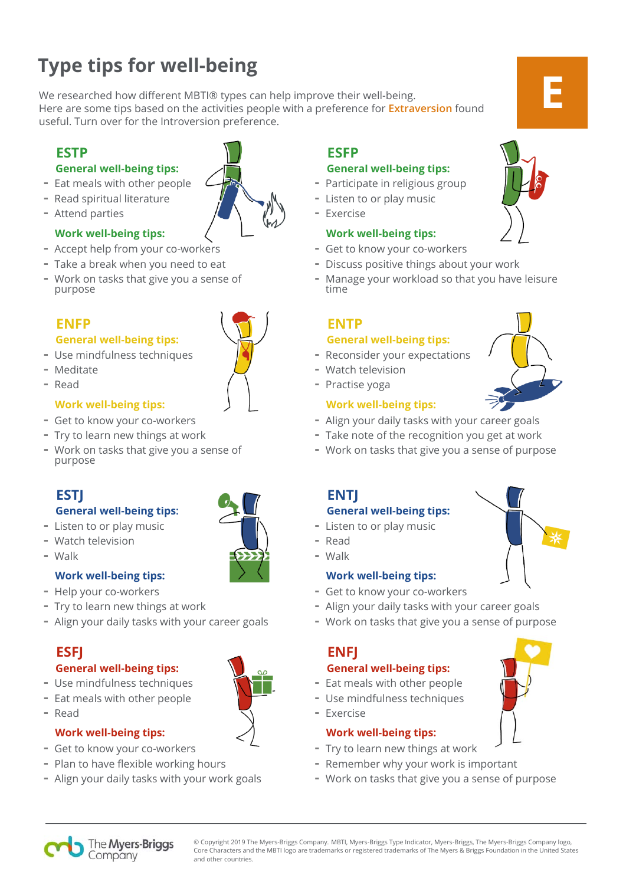#### © Copyright 2019 The Myers-Briggs Company. MBTI, Myers-Briggs Type Indicator, Myers-Briggs, The Myers-Briggs Company logo, Core Characters and the MBTI logo are trademarks or registered trademarks of The Myers & Briggs Foundation in the United States and other countries.

# **Type tips for well-being**

We researched how different MBTI® types can help improve their well-being. Here are some tips based on the activities people with a preference for **Extraversion** found useful. Turn over for the Introversion preference.

### **General well-being tips:**

- Eat meals with other people
- Read spiritual literature
- Attend parties

# **Work well-being tips:**

- Accept help from your co-workers
- Take a break when you need to eat
- Work on tasks that give you a sense of purpose

### **General well-being tips:**

- Use mindfulness techniques
- Meditate
- Read

### **Work well-being tips:**

- Get to know your co-workers
- Try to learn new things at work
- Work on tasks that give you a sense of purpose



# **General well-being tips:**

- Listen to or play music
- Watch television
- Walk

# **Work well-being tips:**

- Help your co-workers
- Try to learn new things at work
- Align your daily tasks with your career goals

# **General well-being tips:**

- Use mindfulness techniques
- Eat meals with other people
- Read

# **Work well-being tips:**

- Get to know your co-workers
- Plan to have flexible working hours

The Myers-Briggs Company

- Align your daily tasks with your work goals

# **ESTP ESFP**

## **General well-being tips:**

- Participate in religious group
- Listen to or play music
- Exercise

### **Work well-being tips:**

- Get to know your co-workers
- Discuss positive things about your work
- Manage your workload so that you have leisure time

### **ENFP ENTP General well-being tips:**

- Reconsider your expectations
- Watch television
- Practise yoga

# **Work well-being tips:**

- Align your daily tasks with your career goals
- Take note of the recognition you get at work
- Work on tasks that give you a sense of purpose

### **General well-being tips:**

- Listen to or play music
- Read

### **Work well-being tips:**

- Get to know your co-workers
- Align your daily tasks with your career goals
- Work on tasks that give you a sense of purpose

# **ESFJ ENFJ**

- **General well-being tips:**  - Eat meals with other people
- Use mindfulness techniques
- Exercise
- **Work well-being tips:**
- Try to learn new things at work
- Remember why your work is important
- Work on tasks that give you a sense of purpose







**E**





- **ESTJ** ENTJ
	- -
		- Walk